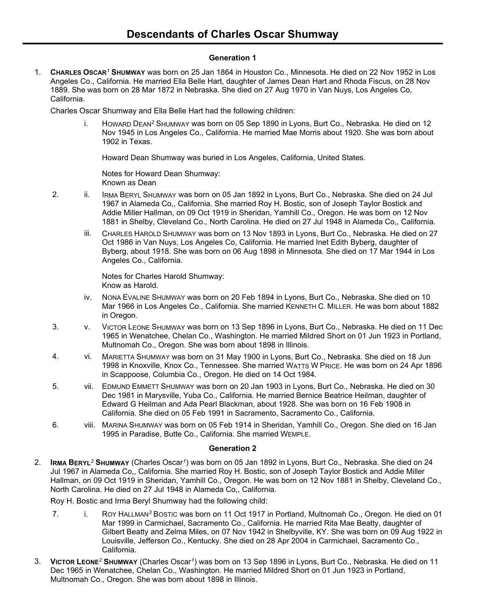## **Generation 1**

1. **CHARLES OSCAR***<sup>1</sup>* **SHUMWAY** was born on 25 Jan 1864 in Houston Co., Minnesota. He died on 22 Nov 1952 in Los Angeles Co., California. He married Ella Belle Hart, daughter of James Dean Hart and Rhoda Fiscus, on 28 Nov 1889. She was born on 28 Mar 1872 in Nebraska. She died on 27 Aug 1970 in Van Nuys, Los Angeles Co, California.

Charles Oscar Shumway and Ella Belle Hart had the following children:

i. HOWARD DEAN*<sup>2</sup>* SHUMWAY was born on 05 Sep 1890 in Lyons, Burt Co., Nebraska. He died on 12 Nov 1945 in Los Angeles Co., California. He married Mae Morris about 1920. She was born about 1902 in Texas.

Howard Dean Shumway was buried in Los Angeles, California, United States.

Notes for Howard Dean Shumway: Known as Dean

- 2. ii. IRMA BERYL SHUMWAY was born on 05 Jan 1892 in Lyons, Burt Co., Nebraska. She died on 24 Jul 1967 in Alameda Co,, California. She married Roy H. Bostic, son of Joseph Taylor Bostick and Addie Miller Hallman, on 09 Oct 1919 in Sheridan, Yamhill Co., Oregon. He was born on 12 Nov 1881 in Shelby, Cleveland Co., North Carolina. He died on 27 Jul 1948 in Alameda Co,, California.
	- iii. CHARLES HAROLD SHUMWAY was born on 13 Nov 1893 in Lyons, Burt Co., Nebraska. He died on 27 Oct 1986 in Van Nuys, Los Angeles Co, California. He married Inet Edith Byberg, daughter of Byberg, about 1918. She was born on 06 Aug 1898 in Minnesota. She died on 17 Mar 1944 in Los Angeles Co., California.

Notes for Charles Harold Shumway: Know as Harold.

- iv. NONA EVALINE SHUMWAY was born on 20 Feb 1894 in Lyons, Burt Co., Nebraska. She died on 10 Mar 1966 in Los Angeles Co., California. She married KENNETH C. MILLER. He was born about 1882 in Oregon.
- 3. v. VICTOR LEONE SHUMWAY was born on 13 Sep 1896 in Lyons, Burt Co., Nebraska. He died on 11 Dec 1965 in Wenatchee, Chelan Co., Washington. He married Mildred Short on 01 Jun 1923 in Portland, Multnomah Co., Oregon. She was born about 1898 in Illinois.
- 4. vi. MARIETTA SHUMWAY was born on 31 May 1900 in Lyons, Burt Co., Nebraska. She died on 18 Jun 1998 in Knoxville, Knox Co., Tennessee. She married WATTS W PRICE. He was born on 24 Apr 1896 in Scappoose, Columbia Co., Oregon. He died on 14 Oct 1984.
- 5. vii. EDMUND EMMETT SHUMWAY was born on 20 Jan 1903 in Lyons, Burt Co., Nebraska. He died on 30 Dec 1981 in Marysville, Yuba Co., California. He married Bernice Beatrice Heilman, daughter of Edward G Heilman and Ada Pearl Blackman, about 1928. She was born on 16 Feb 1908 in California. She died on 05 Feb 1991 in Sacramento, Sacramento Co., California.
- 6. viii. MARINA SHUMWAY was born on 05 Feb 1914 in Sheridan, Yamhill Co., Oregon. She died on 16 Jan 1995 in Paradise, Butte Co., California. She married WEMPLE.

## **Generation 2**

2. **IRMA BERYL***<sup>2</sup>* **SHUMWAY** (Charles Oscar*<sup>1</sup>* ) was born on 05 Jan 1892 in Lyons, Burt Co., Nebraska. She died on 24 Jul 1967 in Alameda Co,, California. She married Roy H. Bostic, son of Joseph Taylor Bostick and Addie Miller Hallman, on 09 Oct 1919 in Sheridan, Yamhill Co., Oregon. He was born on 12 Nov 1881 in Shelby, Cleveland Co., North Carolina. He died on 27 Jul 1948 in Alameda Co,, California.

Roy H. Bostic and Irma Beryl Shumway had the following child:

- 7. i. ROY HALLMAN*<sup>3</sup>* BOSTIC was born on 11 Oct 1917 in Portland, Multnomah Co., Oregon. He died on 01 Mar 1999 in Carmichael, Sacramento Co., California. He married Rita Mae Beatty, daughter of Gilbert Beatty and Zelma Miles, on 07 Nov 1942 in Shelbyville, KY. She was born on 09 Aug 1922 in Louisville, Jefferson Co., Kentucky. She died on 28 Apr 2004 in Carmichael, Sacramento Co., California.
- 3. **VICTOR LEONE***<sup>2</sup>* **SHUMWAY** (Charles Oscar*<sup>1</sup>* ) was born on 13 Sep 1896 in Lyons, Burt Co., Nebraska. He died on 11 Dec 1965 in Wenatchee, Chelan Co., Washington. He married Mildred Short on 01 Jun 1923 in Portland, Multnomah Co., Oregon. She was born about 1898 in Illinois.